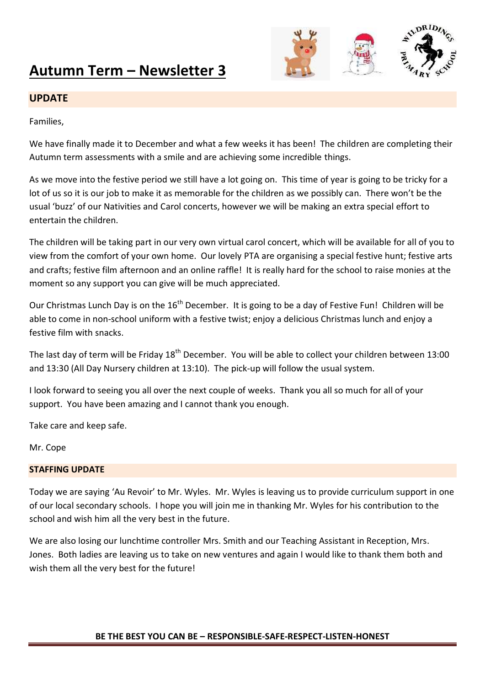# **Autumn Term – Newsletter 3**



## **UPDATE**

Families,

We have finally made it to December and what a few weeks it has been! The children are completing their Autumn term assessments with a smile and are achieving some incredible things.

As we move into the festive period we still have a lot going on. This time of year is going to be tricky for a lot of us so it is our job to make it as memorable for the children as we possibly can. There won't be the usual 'buzz' of our Nativities and Carol concerts, however we will be making an extra special effort to entertain the children.

The children will be taking part in our very own virtual carol concert, which will be available for all of you to view from the comfort of your own home. Our lovely PTA are organising a special festive hunt; festive arts and crafts; festive film afternoon and an online raffle! It is really hard for the school to raise monies at the moment so any support you can give will be much appreciated.

Our Christmas Lunch Day is on the  $16<sup>th</sup>$  December. It is going to be a day of Festive Fun! Children will be able to come in non-school uniform with a festive twist; enjoy a delicious Christmas lunch and enjoy a festive film with snacks.

The last day of term will be Friday 18<sup>th</sup> December. You will be able to collect your children between 13:00 and 13:30 (All Day Nursery children at 13:10). The pick-up will follow the usual system.

I look forward to seeing you all over the next couple of weeks. Thank you all so much for all of your support. You have been amazing and I cannot thank you enough.

Take care and keep safe.

Mr. Cope

#### **STAFFING UPDATE**

Today we are saying 'Au Revoir' to Mr. Wyles. Mr. Wyles is leaving us to provide curriculum support in one of our local secondary schools. I hope you will join me in thanking Mr. Wyles for his contribution to the school and wish him all the very best in the future.

We are also losing our lunchtime controller Mrs. Smith and our Teaching Assistant in Reception, Mrs. Jones. Both ladies are leaving us to take on new ventures and again I would like to thank them both and wish them all the very best for the future!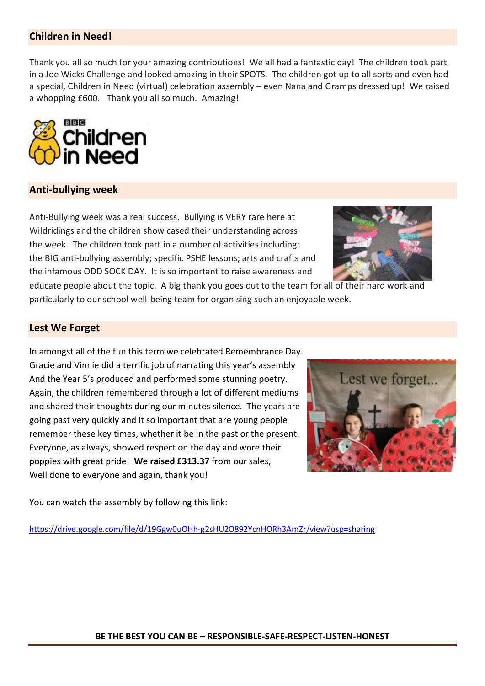# **Children in Need!**

Thank you all so much for your amazing contributions! We all had a fantastic day! The children took part in a Joe Wicks Challenge and looked amazing in their SPOTS. The children got up to all sorts and even had a special, Children in Need (virtual) celebration assembly – even Nana and Gramps dressed up! We raised a whopping £600. Thank you all so much. Amazing!



#### **Anti-bullying week**

Anti-Bullying week was a real success. Bullying is VERY rare here at Wildridings and the children show cased their understanding across the week. The children took part in a number of activities including: the BIG anti-bullying assembly; specific PSHE lessons; arts and crafts and the infamous ODD SOCK DAY. It is so important to raise awareness and



educate people about the topic. A big thank you goes out to the team for all of their hard work and particularly to our school well-being team for organising such an enjoyable week.

#### **Lest We Forget**

In amongst all of the fun this term we celebrated Remembrance Day. Gracie and Vinnie did a terrific job of narrating this year's assembly And the Year 5's produced and performed some stunning poetry. Again, the children remembered through a lot of different mediums and shared their thoughts during our minutes silence. The years are going past very quickly and it so important that are young people remember these key times, whether it be in the past or the present. Everyone, as always, showed respect on the day and wore their poppies with great pride! **We raised £313.37** from our sales, Well done to everyone and again, thank you!



You can watch the assembly by following this link:

<https://drive.google.com/file/d/19Ggw0uOHh-g2sHU2O892YcnHORh3AmZr/view?usp=sharing>

#### **BE THE BEST YOU CAN BE – RESPONSIBLE-SAFE-RESPECT-LISTEN-HONEST**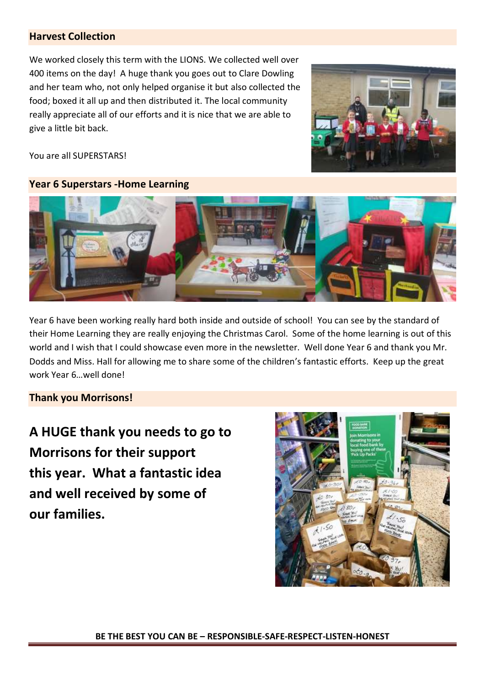# **Harvest Collection**

We worked closely this term with the LIONS. We collected well over 400 items on the day! A huge thank you goes out to Clare Dowling and her team who, not only helped organise it but also collected the food; boxed it all up and then distributed it. The local community really appreciate all of our efforts and it is nice that we are able to give a little bit back.



You are all SUPERSTARS!

# **Year 6 Superstars -Home Learning**



Year 6 have been working really hard both inside and outside of school! You can see by the standard of their Home Learning they are really enjoying the Christmas Carol. Some of the home learning is out of this world and I wish that I could showcase even more in the newsletter. Well done Year 6 and thank you Mr. Dodds and Miss. Hall for allowing me to share some of the children's fantastic efforts. Keep up the great work Year 6…well done!

## **Thank you Morrisons!**

**A HUGE thank you needs to go to Morrisons for their support this year. What a fantastic idea and well received by some of our families.** 

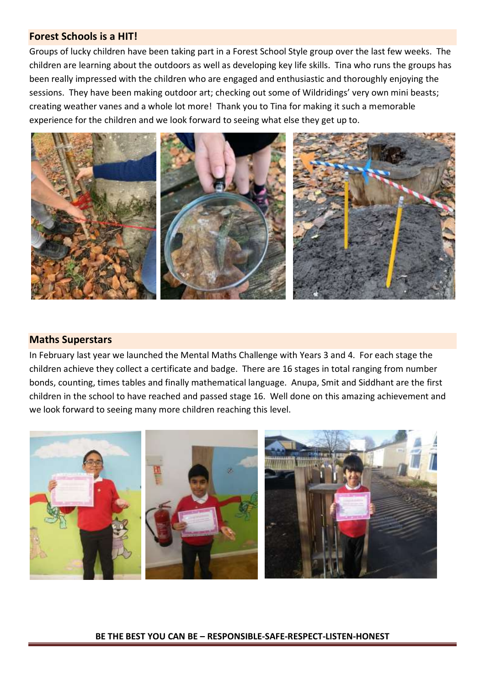## **Forest Schools is a HIT!**

Groups of lucky children have been taking part in a Forest School Style group over the last few weeks. The children are learning about the outdoors as well as developing key life skills. Tina who runs the groups has been really impressed with the children who are engaged and enthusiastic and thoroughly enjoying the sessions. They have been making outdoor art; checking out some of Wildridings' very own mini beasts; creating weather vanes and a whole lot more! Thank you to Tina for making it such a memorable experience for the children and we look forward to seeing what else they get up to.



## **Maths Superstars**

In February last year we launched the Mental Maths Challenge with Years 3 and 4. For each stage the children achieve they collect a certificate and badge. There are 16 stages in total ranging from number bonds, counting, times tables and finally mathematical language. Anupa, Smit and Siddhant are the first children in the school to have reached and passed stage 16. Well done on this amazing achievement and we look forward to seeing many more children reaching this level.



#### **BE THE BEST YOU CAN BE – RESPONSIBLE-SAFE-RESPECT-LISTEN-HONEST**